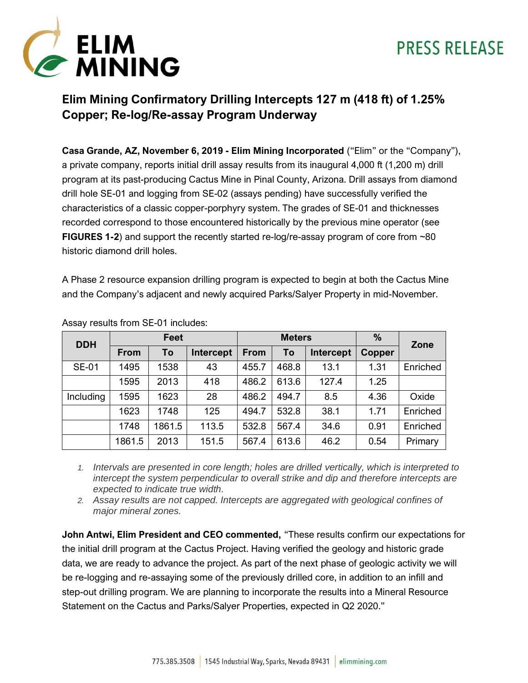



### **Elim Mining Confirmatory Drilling Intercepts 127 m (418 ft) of 1.25% Copper; Re-log/Re-assay Program Underway**

**Casa Grande, AZ, November 6, 2019 - Elim Mining Incorporated** ("Elim" or the "Company"), a private company, reports initial drill assay results from its inaugural 4,000 ft (1,200 m) drill program at its past-producing Cactus Mine in Pinal County, Arizona. Drill assays from diamond drill hole SE-01 and logging from SE-02 (assays pending) have successfully verified the characteristics of a classic copper-porphyry system. The grades of SE-01 and thicknesses recorded correspond to those encountered historically by the previous mine operator (see **FIGURES 1-2**) and support the recently started re-log/re-assay program of core from ~80 historic diamond drill holes.

A Phase 2 resource expansion drilling program is expected to begin at both the Cactus Mine and the Company's adjacent and newly acquired Parks/Salyer Property in mid-November.

| <b>DDH</b>   | <b>Feet</b> |        |           | <b>Meters</b> |       |           | %      | Zone     |
|--------------|-------------|--------|-----------|---------------|-------|-----------|--------|----------|
|              | <b>From</b> | To     | Intercept | <b>From</b>   | To    | Intercept | Copper |          |
| <b>SE-01</b> | 1495        | 1538   | 43        | 455.7         | 468.8 | 13.1      | 1.31   | Enriched |
|              | 1595        | 2013   | 418       | 486.2         | 613.6 | 127.4     | 1.25   |          |
| Including    | 1595        | 1623   | 28        | 486.2         | 494.7 | 8.5       | 4.36   | Oxide    |
|              | 1623        | 1748   | 125       | 494.7         | 532.8 | 38.1      | 1.71   | Enriched |
|              | 1748        | 1861.5 | 113.5     | 532.8         | 567.4 | 34.6      | 0.91   | Enriched |
|              | 1861.5      | 2013   | 151.5     | 567.4         | 613.6 | 46.2      | 0.54   | Primary  |

Assay results from SE-01 includes:

*1. Intervals are presented in core length; holes are drilled vertically, which is interpreted to intercept the system perpendicular to overall strike and dip and therefore intercepts are expected to indicate true width.*

*2. Assay results are not capped. Intercepts are aggregated with geological confines of major mineral zones.*

**John Antwi, Elim President and CEO commented,** "These results confirm our expectations for the initial drill program at the Cactus Project. Having verified the geology and historic grade data, we are ready to advance the project. As part of the next phase of geologic activity we will be re-logging and re-assaying some of the previously drilled core, in addition to an infill and step-out drilling program. We are planning to incorporate the results into a Mineral Resource Statement on the Cactus and Parks/Salyer Properties, expected in Q2 2020."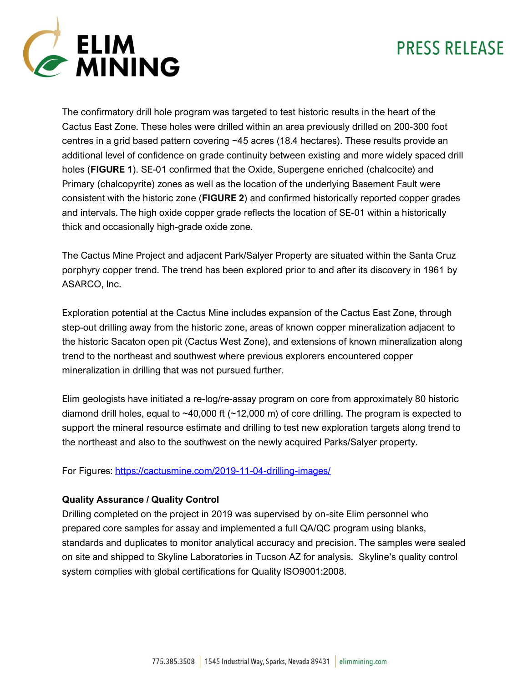

The confirmatory drill hole program was targeted to test historic results in the heart of the Cactus East Zone. These holes were drilled within an area previously drilled on 200-300 foot centres in a grid based pattern covering ~45 acres (18.4 hectares). These results provide an additional level of confidence on grade continuity between existing and more widely spaced drill holes (**FIGURE 1**). SE-01 confirmed that the Oxide, Supergene enriched (chalcocite) and Primary (chalcopyrite) zones as well as the location of the underlying Basement Fault were consistent with the historic zone (**FIGURE 2**) and confirmed historically reported copper grades and intervals. The high oxide copper grade reflects the location of SE-01 within a historically thick and occasionally high-grade oxide zone.

The Cactus Mine Project and adjacent Park/Salyer Property are situated within the Santa Cruz porphyry copper trend. The trend has been explored prior to and after its discovery in 1961 by ASARCO, Inc.

Exploration potential at the Cactus Mine includes expansion of the Cactus East Zone, through step-out drilling away from the historic zone, areas of known copper mineralization adjacent to the historic Sacaton open pit (Cactus West Zone), and extensions of known mineralization along trend to the northeast and southwest where previous explorers encountered copper mineralization in drilling that was not pursued further.

Elim geologists have initiated a re-log/re-assay program on core from approximately 80 historic diamond drill holes, equal to ~40,000 ft (~12,000 m) of core drilling. The program is expected to support the mineral resource estimate and drilling to test new exploration targets along trend to the northeast and also to the southwest on the newly acquired Parks/Salyer property.

For Figures:<https://cactusmine.com/2019-11-04-drilling-images/>

#### **Quality Assurance / Quality Control**

Drilling completed on the project in 2019 was supervised by on-site Elim personnel who prepared core samples for assay and implemented a full QA/QC program using blanks, standards and duplicates to monitor analytical accuracy and precision. The samples were sealed on site and shipped to Skyline Laboratories in Tucson AZ for analysis. Skyline's quality control system complies with global certifications for Quality ISO9001:2008.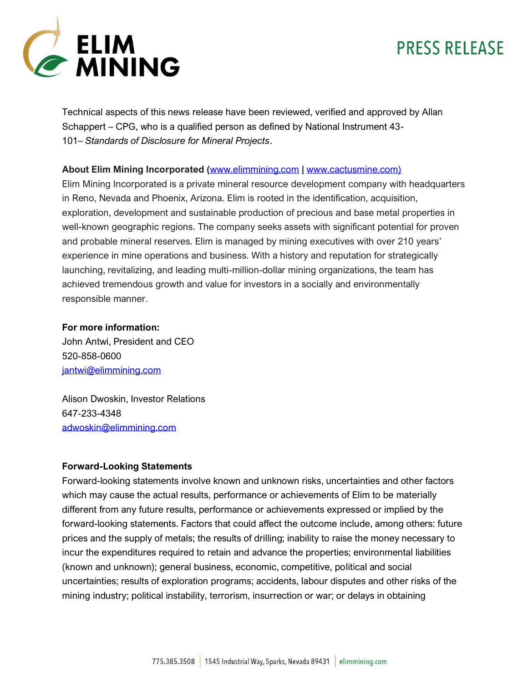

Technical aspects of this news release have been reviewed, verified and approved by Allan Schappert – CPG, who is a qualified person as defined by National Instrument 43- 101– *Standards of Disclosure for Mineral Projects*.

#### **About Elim Mining Incorporated (**[www.elimmining.com](http://www.elimmining.com/) **|** [www.cactusmine.com\)](http://www.cactusmine.com)/)

Elim Mining Incorporated is a private mineral resource development company with headquarters in Reno, Nevada and Phoenix, Arizona. Elim is rooted in the identification, acquisition, exploration, development and sustainable production of precious and base metal properties in well-known geographic regions. The company seeks assets with significant potential for proven and probable mineral reserves. Elim is managed by mining executives with over 210 years' experience in mine operations and business. With a history and reputation for strategically launching, revitalizing, and leading multi-million-dollar mining organizations, the team has achieved tremendous growth and value for investors in a socially and environmentally responsible manner.

#### **For more information:**

John Antwi, President and CEO 520-858-0600 [jantwi@elimmining.com](mailto:jantwi@elimmining.com)

Alison Dwoskin, Investor Relations 647-233-4348 [adwoskin@elimmining.com](mailto:adwoskin@elimmining.com)

#### **Forward-Looking Statements**

Forward-looking statements involve known and unknown risks, uncertainties and other factors which may cause the actual results, performance or achievements of Elim to be materially different from any future results, performance or achievements expressed or implied by the forward-looking statements. Factors that could affect the outcome include, among others: future prices and the supply of metals; the results of drilling; inability to raise the money necessary to incur the expenditures required to retain and advance the properties; environmental liabilities (known and unknown); general business, economic, competitive, political and social uncertainties; results of exploration programs; accidents, labour disputes and other risks of the mining industry; political instability, terrorism, insurrection or war; or delays in obtaining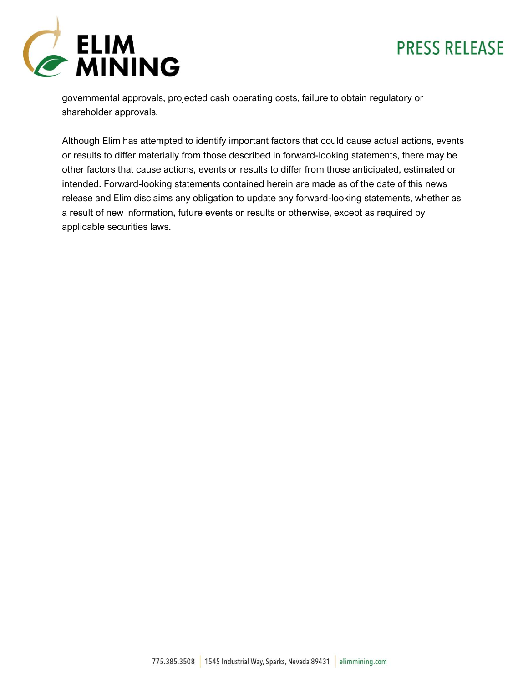

governmental approvals, projected cash operating costs, failure to obtain regulatory or shareholder approvals.

Although Elim has attempted to identify important factors that could cause actual actions, events or results to differ materially from those described in forward-looking statements, there may be other factors that cause actions, events or results to differ from those anticipated, estimated or intended. Forward-looking statements contained herein are made as of the date of this news release and Elim disclaims any obligation to update any forward-looking statements, whether as a result of new information, future events or results or otherwise, except as required by applicable securities laws.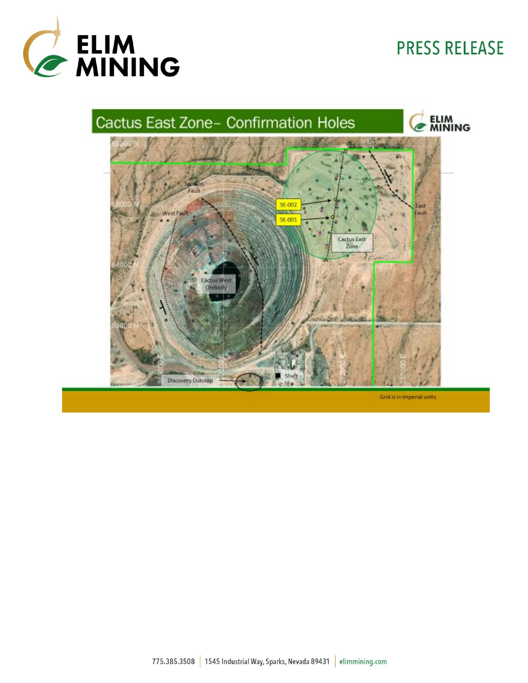



Grid is in imperial units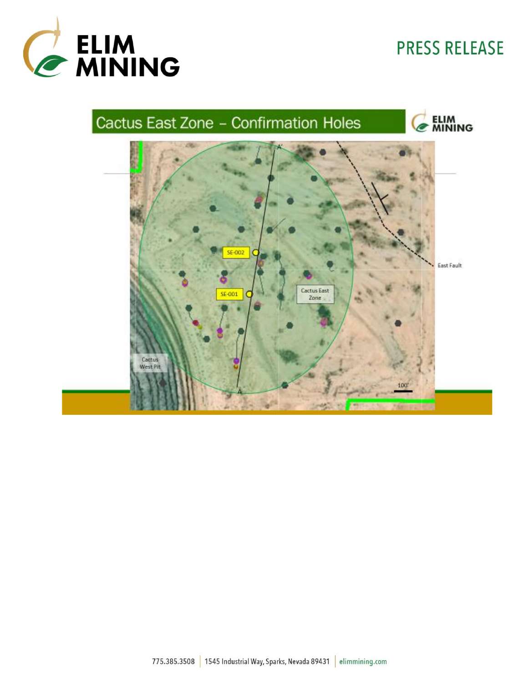